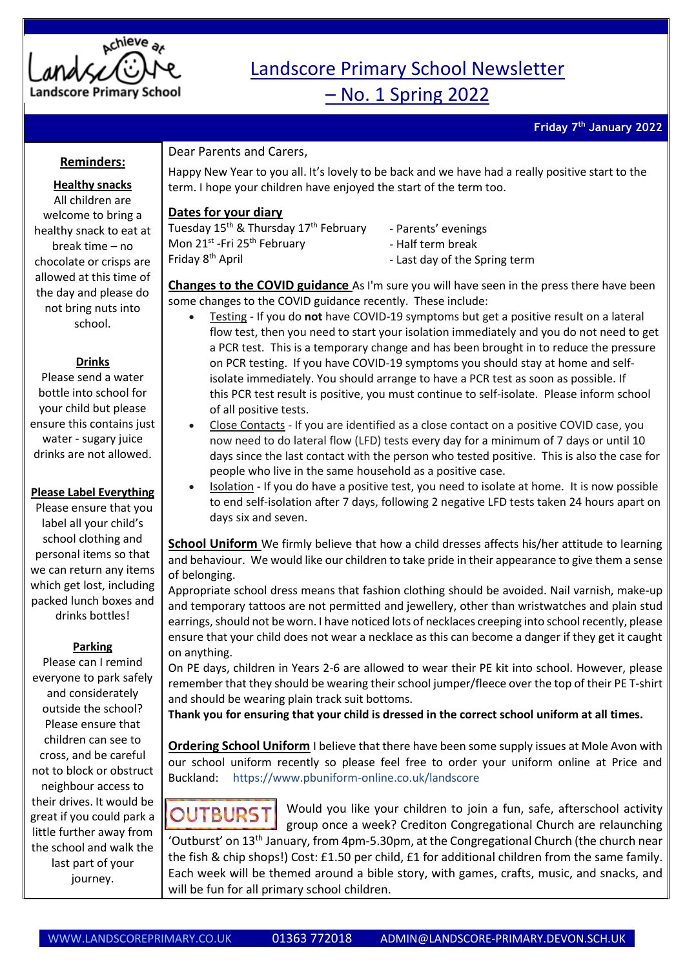

# Landscore Primary School Newsletter

– No. 1 Spring 2022

**Friday 7 th January 2022**

### **Reminders:**

#### **Healthy snacks**

All children are welcome to bring a healthy snack to eat at break time – no chocolate or crisps are allowed at this time of the day and please do not bring nuts into school.

#### **Drinks**

Please send a water bottle into school for your child but please ensure this contains just water - sugary juice drinks are not allowed.

#### **Please Label Everything**

Please ensure that you label all your child's school clothing and personal items so that we can return any items which get lost, including packed lunch boxes and drinks bottles!

#### **Parking**

Please can I remind everyone to park safely and considerately outside the school? Please ensure that children can see to cross, and be careful not to block or obstruct neighbour access to their drives. It would be great if you could park a little further away from the school and walk the last part of your journey.

## Dear Parents and Carers,

Happy New Year to you all. It's lovely to be back and we have had a really positive start to the term. I hope your children have enjoyed the start of the term too.

### **Dates for your diary**

Tuesday 15<sup>th</sup> & Thursday 17<sup>th</sup> February Mon 21<sup>st</sup> -Fri 25<sup>th</sup> February Friday 8th April

- Parents' evenings - Half term break

- Last day of the Spring term

**Changes to the COVID guidance** As I'm sure you will have seen in the press there have been some changes to the COVID guidance recently. These include:

- Testing If you do **not** have COVID-19 symptoms but get a positive result on a lateral flow test, then you need to start your isolation immediately and you do not need to get a PCR test. This is a temporary change and has been brought in to reduce the pressure on PCR testing. If you have COVID-19 symptoms you should stay at home and selfisolate immediately. You should arrange to have a PCR test as soon as possible. If this PCR test result is positive, you must continue to self-isolate. Please inform school of all positive tests.
- Close Contacts If you are identified as a close contact on a positive COVID case, you now need to do lateral flow (LFD) tests every day for a minimum of 7 days or until 10 days since the last contact with the person who tested positive. This is also the case for people who live in the same household as a positive case.
- Isolation If you do have a positive test, you need to isolate at home. It is now possible to end self-isolation after 7 days, following 2 negative LFD tests taken 24 hours apart on days six and seven.

**School Uniform** We firmly believe that how a child dresses affects his/her attitude to learning and behaviour. We would like our children to take pride in their appearance to give them a sense of belonging.

Appropriate school dress means that fashion clothing should be avoided. Nail varnish, make-up and temporary tattoos are not permitted and jewellery, other than wristwatches and plain stud earrings, should not be worn. I have noticed lots of necklaces creeping into school recently, please ensure that your child does not wear a necklace as this can become a danger if they get it caught on anything.

On PE days, children in Years 2-6 are allowed to wear their PE kit into school. However, please remember that they should be wearing their school jumper/fleece over the top of their PE T-shirt and should be wearing plain track suit bottoms.

**Thank you for ensuring that your child is dressed in the correct school uniform at all times.**

**Ordering School Uniform** I believe that there have been some supply issues at Mole Avon with our school uniform recently so please feel free to order your uniform online at Price and Buckland: <https://www.pbuniform-online.co.uk/landscore>

Would you like your children to join a fun, safe, afterschool activity **OUTBURST** group once a week? Crediton Congregational Church are relaunching 'Outburst' on 13<sup>th</sup> January, from 4pm-5.30pm, at the Congregational Church (the church near the fish & chip shops!) Cost: £1.50 per child, £1 for additional children from the same family. Each week will be themed around a bible story, with games, crafts, music, and snacks, and will be fun for all primary school children.